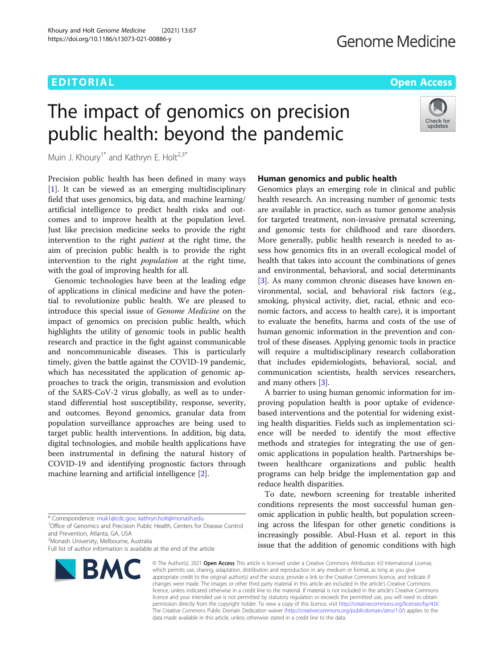# EDITORIAL AND INTERNATIONAL CONTRACT CONTRACT CONTRACT CONTRACT CONTRACT CONTRACT CONTRACT CONTRACT CONTRACT CO

# The impact of genomics on precision public health: beyond the pandemic

Check for updates

Muin J. Khoury<sup>1\*</sup> and Kathryn E. Holt<sup>2,3\*</sup>

Precision public health has been defined in many ways [[1\]](#page-2-0). It can be viewed as an emerging multidisciplinary field that uses genomics, big data, and machine learning/ artificial intelligence to predict health risks and outcomes and to improve health at the population level. Just like precision medicine seeks to provide the right intervention to the right patient at the right time, the aim of precision public health is to provide the right intervention to the right *population* at the right time, with the goal of improving health for all.

Genomic technologies have been at the leading edge of applications in clinical medicine and have the potential to revolutionize public health. We are pleased to introduce this special issue of Genome Medicine on the impact of genomics on precision public health, which highlights the utility of genomic tools in public health research and practice in the fight against communicable and noncommunicable diseases. This is particularly timely, given the battle against the COVID-19 pandemic, which has necessitated the application of genomic approaches to track the origin, transmission and evolution of the SARS-CoV-2 virus globally, as well as to understand differential host susceptibility, response, severity, and outcomes. Beyond genomics, granular data from population surveillance approaches are being used to target public health interventions. In addition, big data, digital technologies, and mobile health applications have been instrumental in defining the natural history of COVID-19 and identifying prognostic factors through machine learning and artificial intelligence [\[2\]](#page-2-0).

2 Monash University, Melbourne, Australia

Full list of author information is available at the end of the article



# Human genomics and public health

Genomics plays an emerging role in clinical and public health research. An increasing number of genomic tests are available in practice, such as tumor genome analysis for targeted treatment, non-invasive prenatal screening, and genomic tests for childhood and rare disorders. More generally, public health research is needed to assess how genomics fits in an overall ecological model of health that takes into account the combinations of genes and environmental, behavioral, and social determinants [[3\]](#page-2-0). As many common chronic diseases have known environmental, social, and behavioral risk factors (e.g., smoking, physical activity, diet, racial, ethnic and economic factors, and access to health care), it is important to evaluate the benefits, harms and costs of the use of human genomic information in the prevention and control of these diseases. Applying genomic tools in practice will require a multidisciplinary research collaboration that includes epidemiologists, behavioral, social, and communication scientists, health services researchers, and many others [[3](#page-2-0)].

A barrier to using human genomic information for improving population health is poor uptake of evidencebased interventions and the potential for widening existing health disparities. Fields such as implementation science will be needed to identify the most effective methods and strategies for integrating the use of genomic applications in population health. Partnerships between healthcare organizations and public health programs can help bridge the implementation gap and reduce health disparities.

To date, newborn screening for treatable inherited conditions represents the most successful human genomic application in public health, but population screening across the lifespan for other genetic conditions is increasingly possible. Abul-Husn et al. report in this issue that the addition of genomic conditions with high

© The Author(s), 2021 **Open Access** This article is licensed under a Creative Commons Attribution 4.0 International License, which permits use, sharing, adaptation, distribution and reproduction in any medium or format, as long as you give appropriate credit to the original author(s) and the source, provide a link to the Creative Commons licence, and indicate if changes were made. The images or other third party material in this article are included in the article's Creative Commons licence, unless indicated otherwise in a credit line to the material. If material is not included in the article's Creative Commons licence and your intended use is not permitted by statutory regulation or exceeds the permitted use, you will need to obtain permission directly from the copyright holder. To view a copy of this licence, visit [http://creativecommons.org/licenses/by/4.0/.](http://creativecommons.org/licenses/by/4.0/) The Creative Commons Public Domain Dedication waiver [\(http://creativecommons.org/publicdomain/zero/1.0/](http://creativecommons.org/publicdomain/zero/1.0/)) applies to the data made available in this article, unless otherwise stated in a credit line to the data.

<sup>\*</sup> Correspondence: [muk1@cdc.gov;](mailto:muk1@cdc.gov) [kathryn.holt@monash.edu](mailto:kathryn.holt@monash.edu) <sup>1</sup>

<sup>&</sup>lt;sup>1</sup>Office of Genomics and Precision Public Health, Centers for Disease Control and Prevention, Atlanta, GA, USA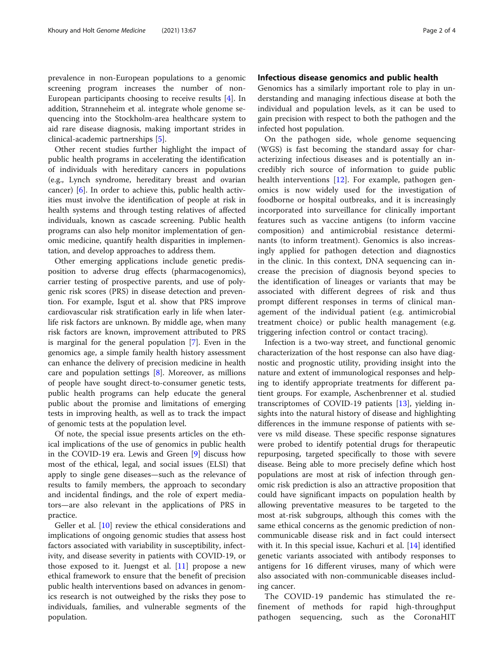prevalence in non-European populations to a genomic screening program increases the number of non-European participants choosing to receive results [\[4\]](#page-2-0). In addition, Stranneheim et al. integrate whole genome sequencing into the Stockholm-area healthcare system to aid rare disease diagnosis, making important strides in clinical-academic partnerships [[5\]](#page-3-0).

Other recent studies further highlight the impact of public health programs in accelerating the identification of individuals with hereditary cancers in populations (e.g., Lynch syndrome, hereditary breast and ovarian cancer) [\[6](#page-3-0)]. In order to achieve this, public health activities must involve the identification of people at risk in health systems and through testing relatives of affected individuals, known as cascade screening. Public health programs can also help monitor implementation of genomic medicine, quantify health disparities in implementation, and develop approaches to address them.

Other emerging applications include genetic predisposition to adverse drug effects (pharmacogenomics), carrier testing of prospective parents, and use of polygenic risk scores (PRS) in disease detection and prevention. For example, Isgut et al. show that PRS improve cardiovascular risk stratification early in life when laterlife risk factors are unknown. By middle age, when many risk factors are known, improvement attributed to PRS is marginal for the general population [\[7](#page-3-0)]. Even in the genomics age, a simple family health history assessment can enhance the delivery of precision medicine in health care and population settings  $[8]$  $[8]$ . Moreover, as millions of people have sought direct-to-consumer genetic tests, public health programs can help educate the general public about the promise and limitations of emerging tests in improving health, as well as to track the impact of genomic tests at the population level.

Of note, the special issue presents articles on the ethical implications of the use of genomics in public health in the COVID-19 era. Lewis and Green [\[9\]](#page-3-0) discuss how most of the ethical, legal, and social issues (ELSI) that apply to single gene diseases—such as the relevance of results to family members, the approach to secondary and incidental findings, and the role of expert mediators—are also relevant in the applications of PRS in practice.

Geller et al. [[10\]](#page-3-0) review the ethical considerations and implications of ongoing genomic studies that assess host factors associated with variability in susceptibility, infectivity, and disease severity in patients with COVID-19, or those exposed to it. Juengst et al. [[11\]](#page-3-0) propose a new ethical framework to ensure that the benefit of precision public health interventions based on advances in genomics research is not outweighed by the risks they pose to individuals, families, and vulnerable segments of the population.

# Infectious disease genomics and public health

Genomics has a similarly important role to play in understanding and managing infectious disease at both the individual and population levels, as it can be used to gain precision with respect to both the pathogen and the infected host population.

On the pathogen side, whole genome sequencing (WGS) is fast becoming the standard assay for characterizing infectious diseases and is potentially an incredibly rich source of information to guide public health interventions [\[12](#page-3-0)]. For example, pathogen genomics is now widely used for the investigation of foodborne or hospital outbreaks, and it is increasingly incorporated into surveillance for clinically important features such as vaccine antigens (to inform vaccine composition) and antimicrobial resistance determinants (to inform treatment). Genomics is also increasingly applied for pathogen detection and diagnostics in the clinic. In this context, DNA sequencing can increase the precision of diagnosis beyond species to the identification of lineages or variants that may be associated with different degrees of risk and thus prompt different responses in terms of clinical management of the individual patient (e.g. antimicrobial treatment choice) or public health management (e.g. triggering infection control or contact tracing).

Infection is a two-way street, and functional genomic characterization of the host response can also have diagnostic and prognostic utility, providing insight into the nature and extent of immunological responses and helping to identify appropriate treatments for different patient groups. For example, Aschenbrenner et al. studied transcriptomes of COVID-19 patients  $[13]$  $[13]$ , yielding insights into the natural history of disease and highlighting differences in the immune response of patients with severe vs mild disease. These specific response signatures were probed to identify potential drugs for therapeutic repurposing, targeted specifically to those with severe disease. Being able to more precisely define which host populations are most at risk of infection through genomic risk prediction is also an attractive proposition that could have significant impacts on population health by allowing preventative measures to be targeted to the most at-risk subgroups, although this comes with the same ethical concerns as the genomic prediction of noncommunicable disease risk and in fact could intersect with it. In this special issue, Kachuri et al. [\[14\]](#page-3-0) identified genetic variants associated with antibody responses to antigens for 16 different viruses, many of which were also associated with non-communicable diseases including cancer.

The COVID-19 pandemic has stimulated the refinement of methods for rapid high-throughput pathogen sequencing, such as the CoronaHIT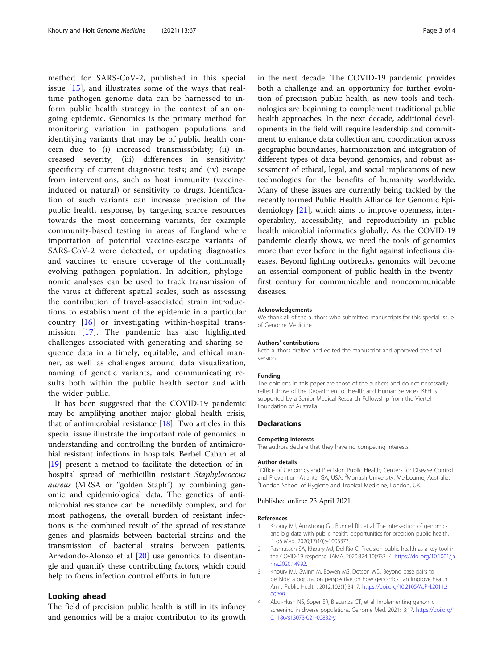<span id="page-2-0"></span>method for SARS-CoV-2, published in this special issue [[15](#page-3-0)], and illustrates some of the ways that realtime pathogen genome data can be harnessed to inform public health strategy in the context of an ongoing epidemic. Genomics is the primary method for monitoring variation in pathogen populations and identifying variants that may be of public health concern due to (i) increased transmissibility; (ii) increased severity; (iii) differences in sensitivity/ specificity of current diagnostic tests; and (iv) escape from interventions, such as host immunity (vaccineinduced or natural) or sensitivity to drugs. Identification of such variants can increase precision of the public health response, by targeting scarce resources towards the most concerning variants, for example community-based testing in areas of England where importation of potential vaccine-escape variants of SARS-CoV-2 were detected, or updating diagnostics and vaccines to ensure coverage of the continually evolving pathogen population. In addition, phylogenomic analyses can be used to track transmission of the virus at different spatial scales, such as assessing the contribution of travel-associated strain introductions to establishment of the epidemic in a particular country [\[16](#page-3-0)] or investigating within-hospital transmission [\[17\]](#page-3-0). The pandemic has also highlighted challenges associated with generating and sharing sequence data in a timely, equitable, and ethical manner, as well as challenges around data visualization, naming of genetic variants, and communicating results both within the public health sector and with the wider public.

It has been suggested that the COVID-19 pandemic may be amplifying another major global health crisis, that of antimicrobial resistance  $[18]$  $[18]$  $[18]$ . Two articles in this special issue illustrate the important role of genomics in understanding and controlling the burden of antimicrobial resistant infections in hospitals. Berbel Caban et al [[19\]](#page-3-0) present a method to facilitate the detection of inhospital spread of methicillin resistant Staphylococcus aureus (MRSA or "golden Staph") by combining genomic and epidemiological data. The genetics of antimicrobial resistance can be incredibly complex, and for most pathogens, the overall burden of resistant infections is the combined result of the spread of resistance genes and plasmids between bacterial strains and the transmission of bacterial strains between patients. Arredondo-Alonso et al [[20](#page-3-0)] use genomics to disentangle and quantify these contributing factors, which could help to focus infection control efforts in future.

# Looking ahead

The field of precision public health is still in its infancy and genomics will be a major contributor to its growth in the next decade. The COVID-19 pandemic provides both a challenge and an opportunity for further evolution of precision public health, as new tools and technologies are beginning to complement traditional public health approaches. In the next decade, additional developments in the field will require leadership and commitment to enhance data collection and coordination across geographic boundaries, harmonization and integration of different types of data beyond genomics, and robust assessment of ethical, legal, and social implications of new technologies for the benefits of humanity worldwide. Many of these issues are currently being tackled by the recently formed Public Health Alliance for Genomic Epidemiology [[21\]](#page-3-0), which aims to improve openness, interoperability, accessibility, and reproducibility in public health microbial informatics globally. As the COVID-19 pandemic clearly shows, we need the tools of genomics more than ever before in the fight against infectious diseases. Beyond fighting outbreaks, genomics will become an essential component of public health in the twentyfirst century for communicable and noncommunicable diseases.

#### Acknowledgements

We thank all of the authors who submitted manuscripts for this special issue of Genome Medicine.

#### Authors' contributions

Both authors drafted and edited the manuscript and approved the final version.

#### Funding

The opinions in this paper are those of the authors and do not necessarily reflect those of the Department of Health and Human Services. KEH is supported by a Senior Medical Research Fellowship from the Viertel Foundation of Australia.

### Declarations

#### Competing interests

The authors declare that they have no competing interests.

#### Author details

<sup>1</sup>Office of Genomics and Precision Public Health, Centers for Disease Control and Prevention, Atlanta, GA, USA. <sup>2</sup>Monash University, Melbourne, Australia.<br><sup>3</sup>Londen School of Hyginne, and Tropical Medicine, Londen, LIK. <sup>3</sup> London School of Hygiene and Tropical Medicine, London, UK.

#### Published online: 23 April 2021

#### References

- Khoury MJ, Armstrong GL, Bunnell RL, et al. The intersection of genomics and big data with public health: opportunities for precision public health. PLoS Med. 2020;17(10):e1003373.
- Rasmussen SA, Khoury MJ, Del Rio C. Precision public health as a key tool in the COVID-19 response. JAMA. 2020;324(10):933–4. [https://doi.org/10.1001/ja](https://doi.org/10.1001/jama.2020.14992) [ma.2020.14992.](https://doi.org/10.1001/jama.2020.14992)
- 3. Khoury MJ, Gwinn M, Bowen MS, Dotson WD. Beyond base pairs to bedside: a population perspective on how genomics can improve health. Am J Public Health. 2012;102(1):34–7. [https://doi.org/10.2105/AJPH.2011.3](https://doi.org/10.2105/AJPH.2011.300299) [00299.](https://doi.org/10.2105/AJPH.2011.300299)
- 4. Abul-Husn NS, Soper ER, Braganza GT, et al. Implementing genomic screening in diverse populations. Genome Med. 2021;13:17. [https://doi.org/1](https://doi.org/10.1186/s13073-021-00832-y) [0.1186/s13073-021-00832-y.](https://doi.org/10.1186/s13073-021-00832-y)